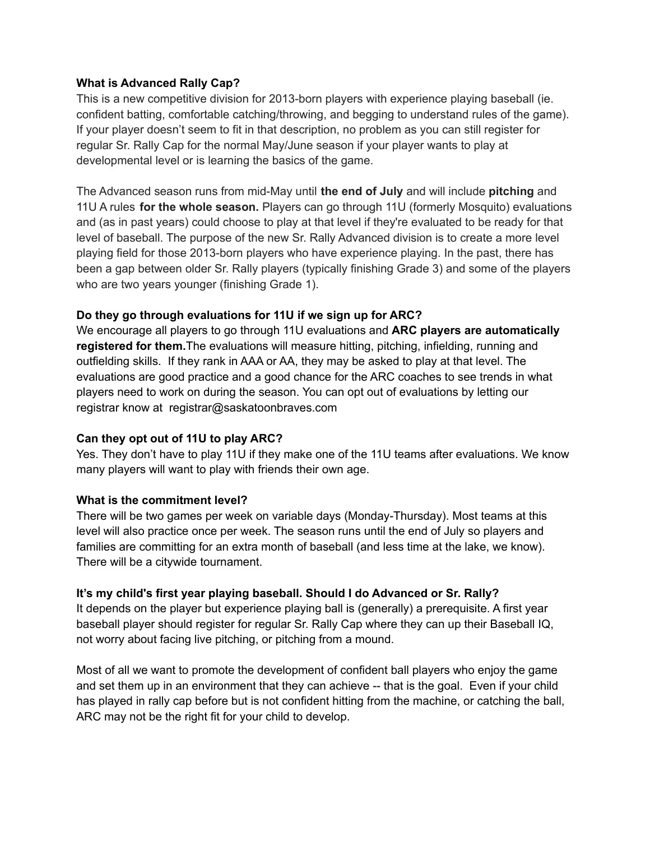#### **What is Advanced Rally Cap?**

This is a new competitive division for 2013-born players with experience playing baseball (ie. confident batting, comfortable catching/throwing, and begging to understand rules of the game). If your player doesn't seem to fit in that description, no problem as you can still register for regular Sr. Rally Cap for the normal May/June season if your player wants to play at developmental level or is learning the basics of the game.

The Advanced season runs from mid-May until **the end of July** and will include **pitching** and 11U A rules **for the whole season.** Players can go through 11U (formerly Mosquito) evaluations and (as in past years) could choose to play at that level if they're evaluated to be ready for that level of baseball. The purpose of the new Sr. Rally Advanced division is to create a more level playing field for those 2013-born players who have experience playing. In the past, there has been a gap between older Sr. Rally players (typically finishing Grade 3) and some of the players who are two years younger (finishing Grade 1).

### **Do they go through evaluations for 11U if we sign up for ARC?**

We encourage all players to go through 11U evaluations and **ARC players are automatically registered for them.**The evaluations will measure hitting, pitching, infielding, running and outfielding skills. If they rank in AAA or AA, they may be asked to play at that level. The evaluations are good practice and a good chance for the ARC coaches to see trends in what players need to work on during the season. You can opt out of evaluations by letting our registrar know at registrar@saskatoonbraves.com

#### **Can they opt out of 11U to play ARC?**

Yes. They don't have to play 11U if they make one of the 11U teams after evaluations. We know many players will want to play with friends their own age.

#### **What is the commitment level?**

There will be two games per week on variable days (Monday-Thursday). Most teams at this level will also practice once per week. The season runs until the end of July so players and families are committing for an extra month of baseball (and less time at the lake, we know). There will be a citywide tournament.

## **It's my child's first year playing baseball. Should I do Advanced or Sr. Rally?**

It depends on the player but experience playing ball is (generally) a prerequisite. A first year baseball player should register for regular Sr. Rally Cap where they can up their Baseball IQ, not worry about facing live pitching, or pitching from a mound.

Most of all we want to promote the development of confident ball players who enjoy the game and set them up in an environment that they can achieve -- that is the goal. Even if your child has played in rally cap before but is not confident hitting from the machine, or catching the ball, ARC may not be the right fit for your child to develop.